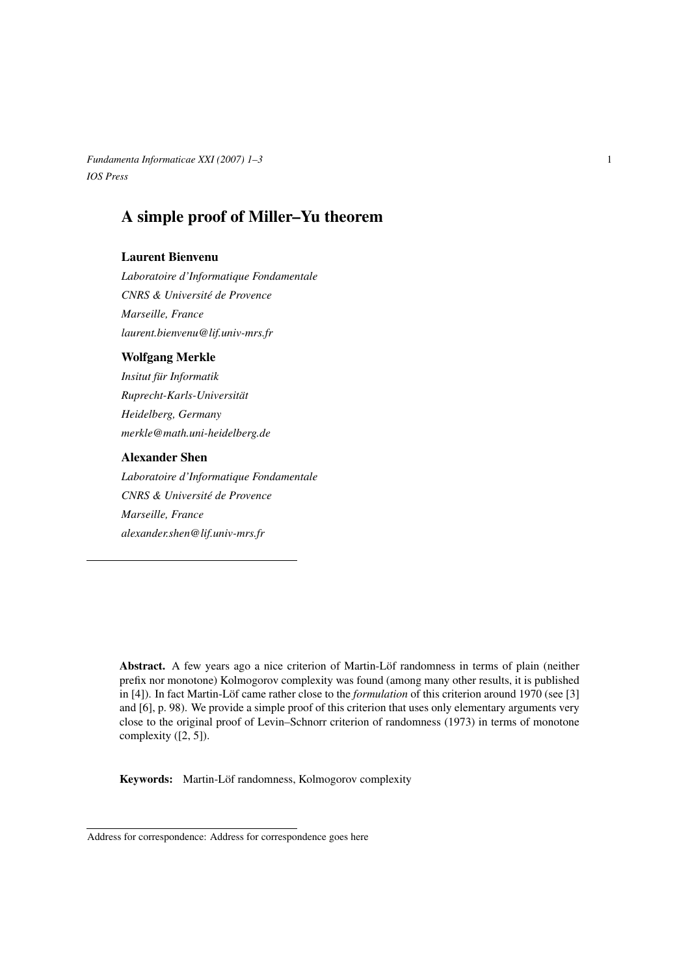*Fundamenta Informaticae XXI (2007) 1–3* 1 *IOS Press*

# A simple proof of Miller–Yu theorem

### Laurent Bienvenu

*Laboratoire d'Informatique Fondamentale CNRS & Universite de Provence ´ Marseille, France laurent.bienvenu@lif.univ-mrs.fr*

#### Wolfgang Merkle

*Insitut fur Informatik ¨ Ruprecht-Karls-Universitat¨ Heidelberg, Germany merkle@math.uni-heidelberg.de*

#### Alexander Shen

*Laboratoire d'Informatique Fondamentale CNRS & Universite de Provence ´ Marseille, France alexander.shen@lif.univ-mrs.fr*

Abstract. A few years ago a nice criterion of Martin-Löf randomness in terms of plain (neither prefix nor monotone) Kolmogorov complexity was found (among many other results, it is published in [4]). In fact Martin-Löf came rather close to the *formulation* of this criterion around 1970 (see [3] and [6], p. 98). We provide a simple proof of this criterion that uses only elementary arguments very close to the original proof of Levin–Schnorr criterion of randomness (1973) in terms of monotone complexity ([2, 5]).

Keywords: Martin-Löf randomness, Kolmogorov complexity

Address for correspondence: Address for correspondence goes here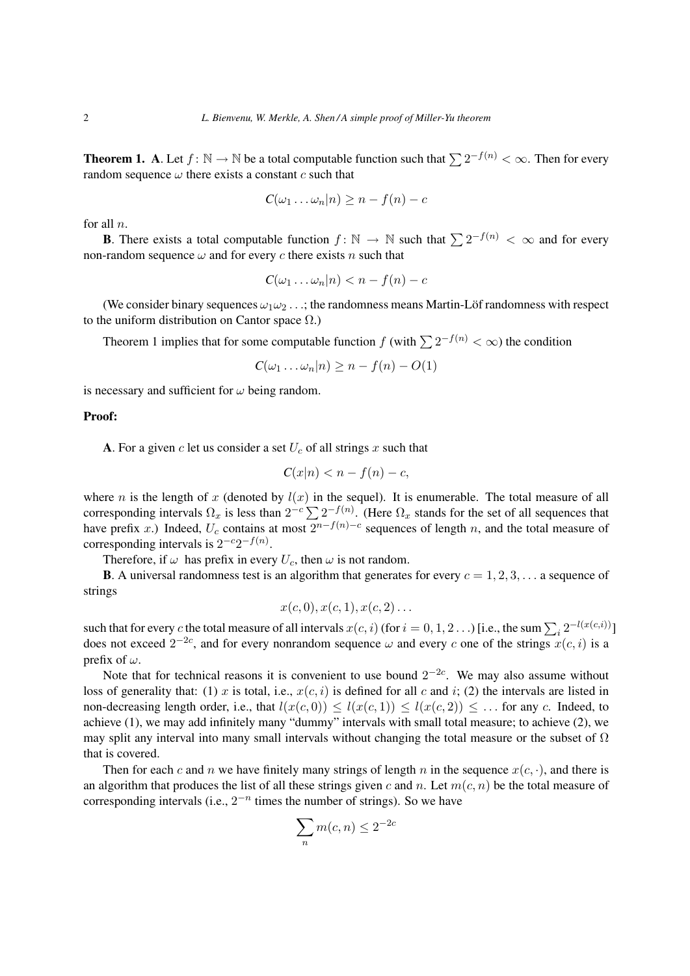**Theorem 1.** A. Let  $f: \mathbb{N} \to \mathbb{N}$  be a total computable function such that  $\sum 2^{-f(n)} < \infty$ . Then for every random sequence  $\omega$  there exists a constant c such that

$$
C(\omega_1 \ldots \omega_n | n) \geq n - f(n) - c
$$

for all  $n$ .

**B**. There exists a total computable function  $f: \mathbb{N} \to \mathbb{N}$  such that  $\sum 2^{-f(n)} < \infty$  and for every non-random sequence  $\omega$  and for every c there exists n such that

$$
C(\omega_1 \ldots \omega_n | n) < n - f(n) - c
$$

(We consider binary sequences  $\omega_1\omega_2 \dots$ ; the randomness means Martin-Löf randomness with respect to the uniform distribution on Cantor space  $\Omega$ .)

Theorem 1 implies that for some computable function f (with  $\sum 2^{-f(n)} < \infty$ ) the condition

$$
C(\omega_1 \ldots \omega_n | n) \geq n - f(n) - O(1)
$$

is necessary and sufficient for  $\omega$  being random.

#### Proof:

A. For a given c let us consider a set  $U_c$  of all strings x such that

$$
C(x|n) < n - f(n) - c
$$

where *n* is the length of x (denoted by  $l(x)$  in the sequel). It is enumerable. The total measure of all corresponding intervals  $\Omega_x$  is less than  $2^{-c}\sum 2^{-f(n)}$ . (Here  $\Omega_x$  stands for the set of all sequences that have prefix x.) Indeed,  $U_c$  contains at most  $2^{n-f(n)-c}$  sequences of length n, and the total measure of corresponding intervals is  $2^{-c}2^{-f(n)}$ .

Therefore, if  $\omega$  has prefix in every  $U_c$ , then  $\omega$  is not random.

**B.** A universal randomness test is an algorithm that generates for every  $c = 1, 2, 3, \ldots$  a sequence of strings

$$
x(c,0), x(c,1), x(c,2) \ldots
$$

such that for every c the total measure of all intervals  $x(c, i)$  (for  $i = 0, 1, 2...$ ) [i.e., the sum  $\sum_i 2^{-l(x(c, i))}$ ] does not exceed  $2^{-2c}$ , and for every nonrandom sequence  $\omega$  and every c one of the strings  $x(c, i)$  is a prefix of  $\omega$ .

Note that for technical reasons it is convenient to use bound  $2^{-2c}$ . We may also assume without loss of generality that: (1) x is total, i.e.,  $x(c, i)$  is defined for all c and i; (2) the intervals are listed in non-decreasing length order, i.e., that  $l(x(c, 0)) \le l(x(c, 1)) \le l(x(c, 2)) \le \dots$  for any c. Indeed, to achieve (1), we may add infinitely many "dummy" intervals with small total measure; to achieve (2), we may split any interval into many small intervals without changing the total measure or the subset of  $\Omega$ that is covered.

Then for each c and n we have finitely many strings of length n in the sequence  $x(c, \cdot)$ , and there is an algorithm that produces the list of all these strings given c and n. Let  $m(c, n)$  be the total measure of corresponding intervals (i.e.,  $2^{-n}$  times the number of strings). So we have

$$
\sum_n m(c, n) \le 2^{-2c}
$$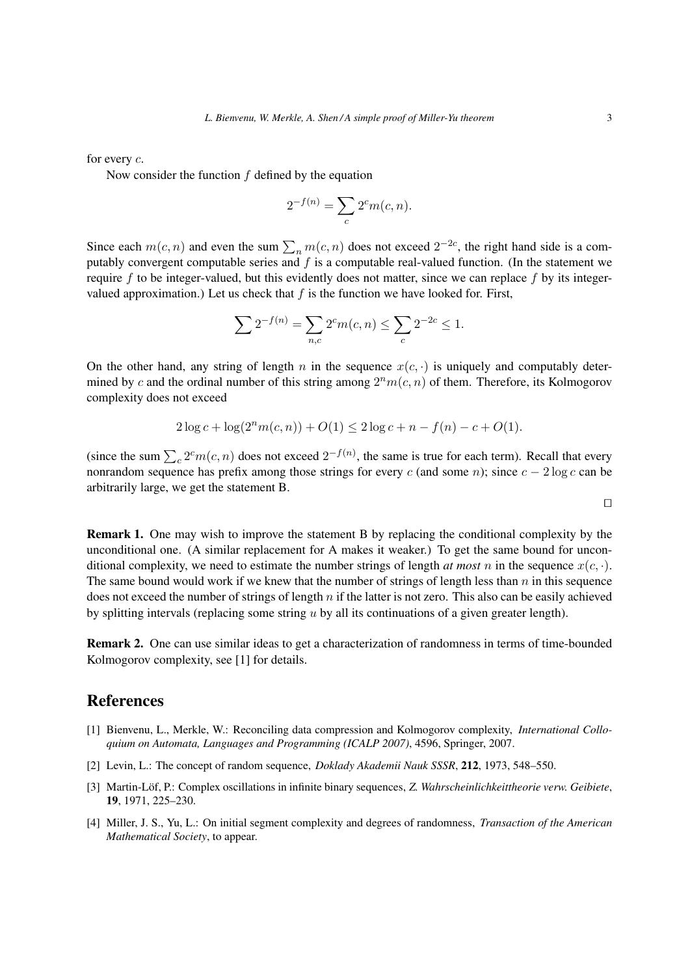for every c.

Now consider the function  $f$  defined by the equation

$$
2^{-f(n)} = \sum_{c} 2^c m(c, n).
$$

Since each  $m(c, n)$  and even the sum  $\sum_n m(c, n)$  does not exceed  $2^{-2c}$ , the right hand side is a computably convergent computable series and  $f$  is a computable real-valued function. (In the statement we require f to be integer-valued, but this evidently does not matter, since we can replace f by its integervalued approximation.) Let us check that  $f$  is the function we have looked for. First,

$$
\sum 2^{-f(n)} = \sum_{n,c} 2^c m(c,n) \le \sum_c 2^{-2c} \le 1.
$$

On the other hand, any string of length n in the sequence  $x(c, \cdot)$  is uniquely and computably determined by c and the ordinal number of this string among  $2^n m(c, n)$  of them. Therefore, its Kolmogorov complexity does not exceed

$$
2\log c + \log(2^n m(c, n)) + O(1) \le 2\log c + n - f(n) - c + O(1).
$$

(since the sum  $\sum_{c} 2^c m(c, n)$  does not exceed  $2^{-f(n)}$ , the same is true for each term). Recall that every nonrandom sequence has prefix among those strings for every c (and some n); since  $c - 2 \log c$  can be arbitrarily large, we get the statement B.

 $\Box$ 

Remark 1. One may wish to improve the statement B by replacing the conditional complexity by the unconditional one. (A similar replacement for A makes it weaker.) To get the same bound for unconditional complexity, we need to estimate the number strings of length *at most n* in the sequence  $x(c, \cdot)$ . The same bound would work if we knew that the number of strings of length less than  $n$  in this sequence does not exceed the number of strings of length  $n$  if the latter is not zero. This also can be easily achieved by splitting intervals (replacing some string u by all its continuations of a given greater length).

Remark 2. One can use similar ideas to get a characterization of randomness in terms of time-bounded Kolmogorov complexity, see [1] for details.

## References

- [1] Bienvenu, L., Merkle, W.: Reconciling data compression and Kolmogorov complexity, *International Colloquium on Automata, Languages and Programming (ICALP 2007)*, 4596, Springer, 2007.
- [2] Levin, L.: The concept of random sequence, *Doklady Akademii Nauk SSSR*, 212, 1973, 548–550.
- [3] Martin-Löf, P.: Complex oscillations in infinite binary sequences, Z. Wahrscheinlichkeittheorie verw. Geibiete, 19, 1971, 225–230.
- [4] Miller, J. S., Yu, L.: On initial segment complexity and degrees of randomness, *Transaction of the American Mathematical Society*, to appear.